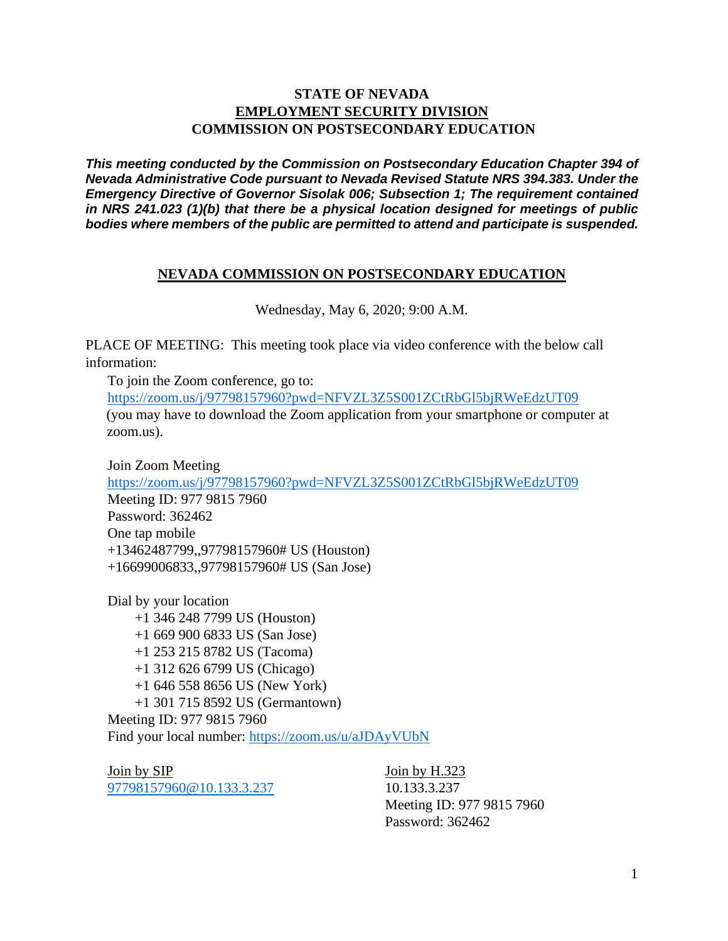#### **STATE OF NEVADA EMPLOYMENT SECURITY DIVISION COMMISSION ON POSTSECONDARY EDUCATION**

*This meeting conducted by the Commission on Postsecondary Education Chapter 394 of Nevada Administrative Code pursuant to Nevada Revised Statute NRS 394.383. Under the Emergency Directive of Governor Sisolak 006; Subsection 1; The requirement contained in NRS 241.023 (1)(b) that there be a physical location designed for meetings of public bodies where members of the public are permitted to attend and participate is suspended.*

#### **NEVADA COMMISSION ON POSTSECONDARY EDUCATION**

Wednesday, May 6, 2020; 9:00 A.M.

PLACE OF MEETING: This meeting took place via video conference with the below call information:

To join the Zoom conference, go to: <https://zoom.us/j/97798157960?pwd=NFVZL3Z5S001ZCtRbGl5bjRWeEdzUT09> (you may have to download the Zoom application from your smartphone or computer at zoom.us).

Join Zoom Meeting <https://zoom.us/j/97798157960?pwd=NFVZL3Z5S001ZCtRbGl5bjRWeEdzUT09> Meeting ID: 977 9815 7960 Password: 362462 One tap mobile +13462487799,,97798157960# US (Houston) +16699006833,,97798157960# US (San Jose)

Dial by your location +1 346 248 7799 US (Houston) +1 669 900 6833 US (San Jose) +1 253 215 8782 US (Tacoma) +1 312 626 6799 US (Chicago) +1 646 558 8656 US (New York) +1 301 715 8592 US (Germantown) Meeting ID: 977 9815 7960 Find your local number:<https://zoom.us/u/aJDAyVUbN>

Join by SIP [97798157960@10.133.3.237](mailto:97798157960@10.133.3.237)

Join by H.323 10.133.3.237 Meeting ID: 977 9815 7960 Password: 362462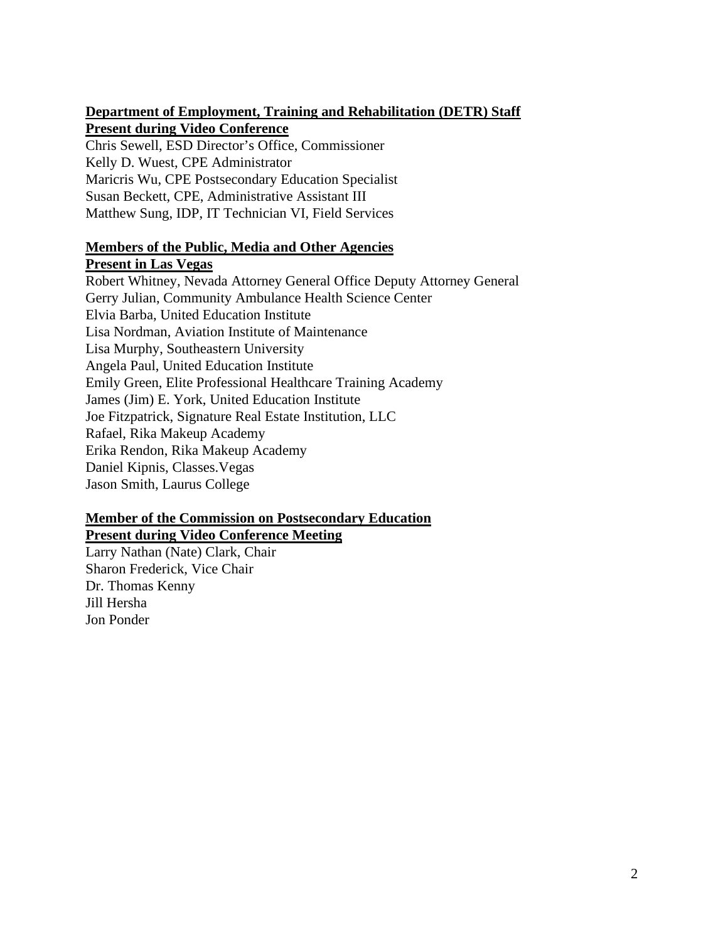#### **Department of Employment, Training and Rehabilitation (DETR) Staff Present during Video Conference**

Chris Sewell, ESD Director's Office, Commissioner Kelly D. Wuest, CPE Administrator Maricris Wu, CPE Postsecondary Education Specialist Susan Beckett, CPE, Administrative Assistant III Matthew Sung, IDP, IT Technician VI, Field Services

#### **Members of the Public, Media and Other Agencies Present in Las Vegas**

Robert Whitney, Nevada Attorney General Office Deputy Attorney General Gerry Julian, Community Ambulance Health Science Center Elvia Barba, United Education Institute Lisa Nordman, Aviation Institute of Maintenance Lisa Murphy, Southeastern University Angela Paul, United Education Institute Emily Green, Elite Professional Healthcare Training Academy James (Jim) E. York, United Education Institute Joe Fitzpatrick, Signature Real Estate Institution, LLC Rafael, Rika Makeup Academy Erika Rendon, Rika Makeup Academy Daniel Kipnis, Classes.Vegas Jason Smith, Laurus College

#### **Member of the Commission on Postsecondary Education Present during Video Conference Meeting**

Larry Nathan (Nate) Clark, Chair Sharon Frederick, Vice Chair Dr. Thomas Kenny Jill Hersha Jon Ponder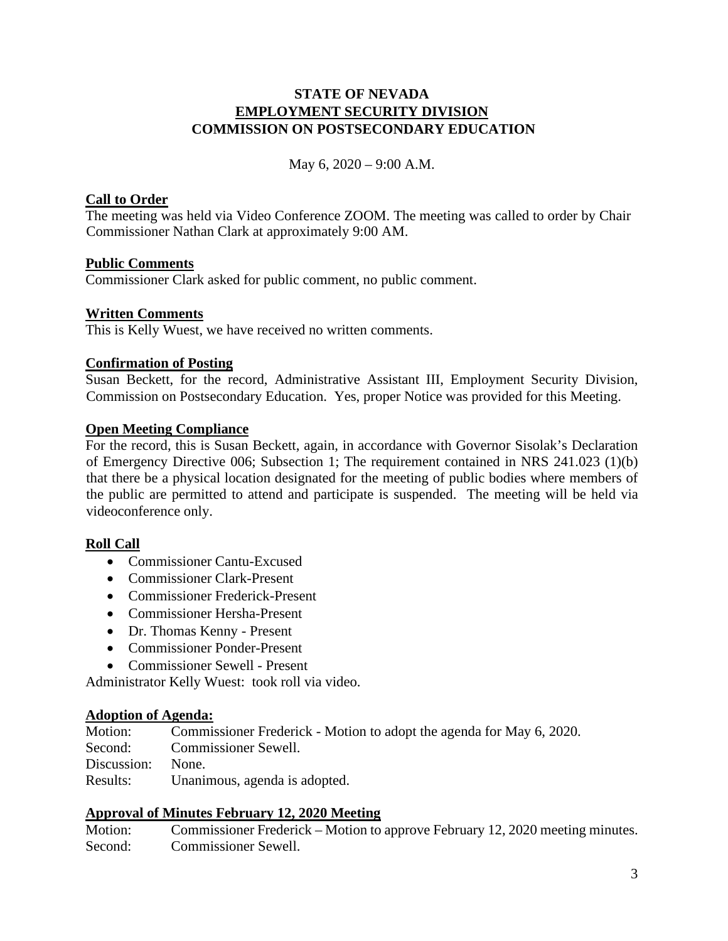#### **STATE OF NEVADA EMPLOYMENT SECURITY DIVISION COMMISSION ON POSTSECONDARY EDUCATION**

May 6, 2020 – 9:00 A.M.

#### **Call to Order**

The meeting was held via Video Conference ZOOM. The meeting was called to order by Chair Commissioner Nathan Clark at approximately 9:00 AM.

#### **Public Comments**

Commissioner Clark asked for public comment, no public comment.

#### **Written Comments**

This is Kelly Wuest, we have received no written comments.

#### **Confirmation of Posting**

Susan Beckett, for the record, Administrative Assistant III, Employment Security Division, Commission on Postsecondary Education. Yes, proper Notice was provided for this Meeting.

#### **Open Meeting Compliance**

For the record, this is Susan Beckett, again, in accordance with Governor Sisolak's Declaration of Emergency Directive 006; Subsection 1; The requirement contained in NRS 241.023 (1)(b) that there be a physical location designated for the meeting of public bodies where members of the public are permitted to attend and participate is suspended. The meeting will be held via videoconference only.

#### **Roll Call**

- Commissioner Cantu-Excused
- Commissioner Clark-Present
- Commissioner Frederick-Present
- Commissioner Hersha-Present
- Dr. Thomas Kenny Present
- Commissioner Ponder-Present
- Commissioner Sewell Present

Administrator Kelly Wuest: took roll via video.

#### **Adoption of Agenda:**

| Motion:           | Commissioner Frederick - Motion to adopt the agenda for May 6, 2020. |
|-------------------|----------------------------------------------------------------------|
| Second:           | Commissioner Sewell.                                                 |
| Discussion: None. |                                                                      |
| Results:          | Unanimous, agenda is adopted.                                        |

#### **Approval of Minutes February 12, 2020 Meeting**

Motion: Commissioner Frederick – Motion to approve February 12, 2020 meeting minutes. Second: Commissioner Sewell.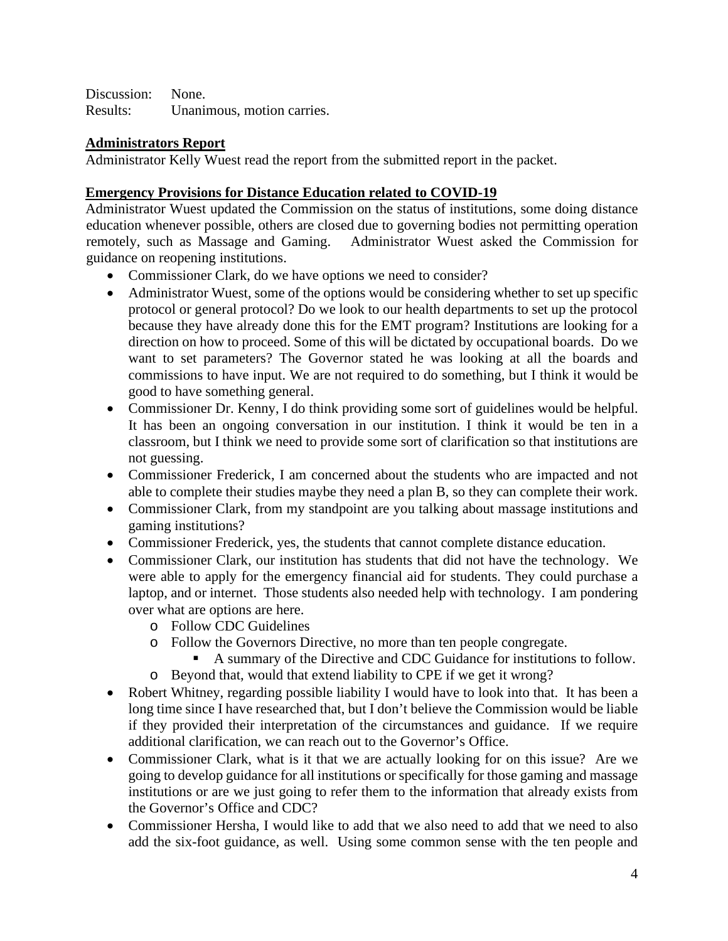Discussion: None. Results: Unanimous, motion carries.

#### **Administrators Report**

Administrator Kelly Wuest read the report from the submitted report in the packet.

#### **Emergency Provisions for Distance Education related to COVID-19**

Administrator Wuest updated the Commission on the status of institutions, some doing distance education whenever possible, others are closed due to governing bodies not permitting operation remotely, such as Massage and Gaming. Administrator Wuest asked the Commission for guidance on reopening institutions.

- Commissioner Clark, do we have options we need to consider?
- Administrator Wuest, some of the options would be considering whether to set up specific protocol or general protocol? Do we look to our health departments to set up the protocol because they have already done this for the EMT program? Institutions are looking for a direction on how to proceed. Some of this will be dictated by occupational boards. Do we want to set parameters? The Governor stated he was looking at all the boards and commissions to have input. We are not required to do something, but I think it would be good to have something general.
- Commissioner Dr. Kenny, I do think providing some sort of guidelines would be helpful. It has been an ongoing conversation in our institution. I think it would be ten in a classroom, but I think we need to provide some sort of clarification so that institutions are not guessing.
- Commissioner Frederick, I am concerned about the students who are impacted and not able to complete their studies maybe they need a plan B, so they can complete their work.
- Commissioner Clark, from my standpoint are you talking about massage institutions and gaming institutions?
- Commissioner Frederick, yes, the students that cannot complete distance education.
- Commissioner Clark, our institution has students that did not have the technology. We were able to apply for the emergency financial aid for students. They could purchase a laptop, and or internet. Those students also needed help with technology. I am pondering over what are options are here.
	- o Follow CDC Guidelines
	- o Follow the Governors Directive, no more than ten people congregate.
		- A summary of the Directive and CDC Guidance for institutions to follow.
	- o Beyond that, would that extend liability to CPE if we get it wrong?
- Robert Whitney, regarding possible liability I would have to look into that. It has been a long time since I have researched that, but I don't believe the Commission would be liable if they provided their interpretation of the circumstances and guidance. If we require additional clarification, we can reach out to the Governor's Office.
- Commissioner Clark, what is it that we are actually looking for on this issue? Are we going to develop guidance for all institutions or specifically for those gaming and massage institutions or are we just going to refer them to the information that already exists from the Governor's Office and CDC?
- Commissioner Hersha, I would like to add that we also need to add that we need to also add the six-foot guidance, as well. Using some common sense with the ten people and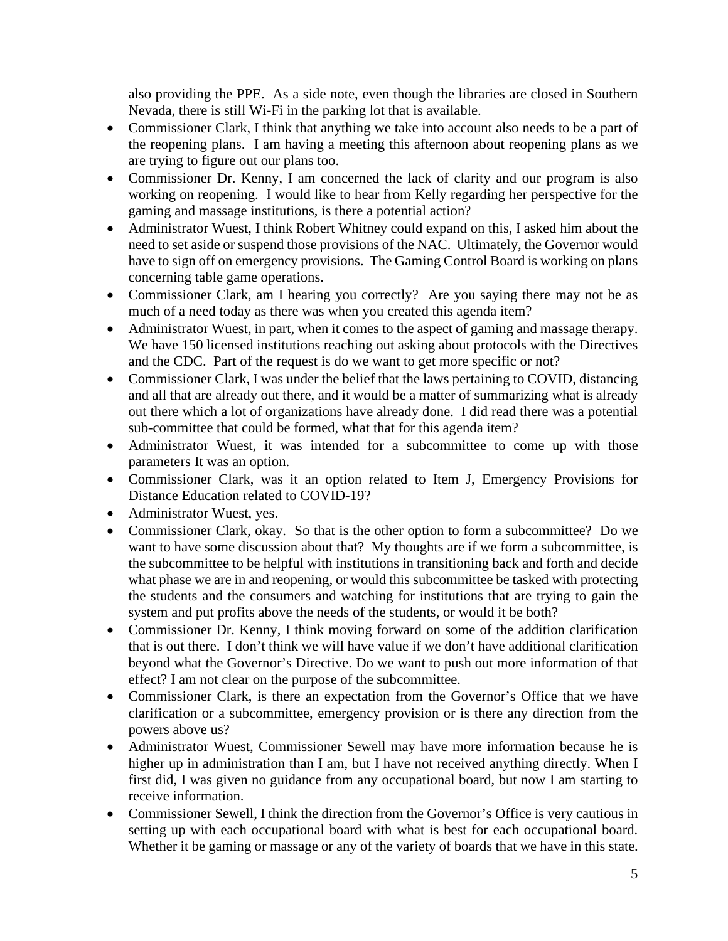also providing the PPE. As a side note, even though the libraries are closed in Southern Nevada, there is still Wi-Fi in the parking lot that is available.

- Commissioner Clark, I think that anything we take into account also needs to be a part of the reopening plans. I am having a meeting this afternoon about reopening plans as we are trying to figure out our plans too.
- Commissioner Dr. Kenny, I am concerned the lack of clarity and our program is also working on reopening. I would like to hear from Kelly regarding her perspective for the gaming and massage institutions, is there a potential action?
- Administrator Wuest, I think Robert Whitney could expand on this, I asked him about the need to set aside or suspend those provisions of the NAC. Ultimately, the Governor would have to sign off on emergency provisions. The Gaming Control Board is working on plans concerning table game operations.
- Commissioner Clark, am I hearing you correctly? Are you saying there may not be as much of a need today as there was when you created this agenda item?
- Administrator Wuest, in part, when it comes to the aspect of gaming and massage therapy. We have 150 licensed institutions reaching out asking about protocols with the Directives and the CDC. Part of the request is do we want to get more specific or not?
- Commissioner Clark, I was under the belief that the laws pertaining to COVID, distancing and all that are already out there, and it would be a matter of summarizing what is already out there which a lot of organizations have already done. I did read there was a potential sub-committee that could be formed, what that for this agenda item?
- Administrator Wuest, it was intended for a subcommittee to come up with those parameters It was an option.
- Commissioner Clark, was it an option related to Item J, Emergency Provisions for Distance Education related to COVID-19?
- Administrator Wuest, yes.
- Commissioner Clark, okay. So that is the other option to form a subcommittee? Do we want to have some discussion about that? My thoughts are if we form a subcommittee, is the subcommittee to be helpful with institutions in transitioning back and forth and decide what phase we are in and reopening, or would this subcommittee be tasked with protecting the students and the consumers and watching for institutions that are trying to gain the system and put profits above the needs of the students, or would it be both?
- Commissioner Dr. Kenny, I think moving forward on some of the addition clarification that is out there. I don't think we will have value if we don't have additional clarification beyond what the Governor's Directive. Do we want to push out more information of that effect? I am not clear on the purpose of the subcommittee.
- Commissioner Clark, is there an expectation from the Governor's Office that we have clarification or a subcommittee, emergency provision or is there any direction from the powers above us?
- Administrator Wuest, Commissioner Sewell may have more information because he is higher up in administration than I am, but I have not received anything directly. When I first did, I was given no guidance from any occupational board, but now I am starting to receive information.
- Commissioner Sewell, I think the direction from the Governor's Office is very cautious in setting up with each occupational board with what is best for each occupational board. Whether it be gaming or massage or any of the variety of boards that we have in this state.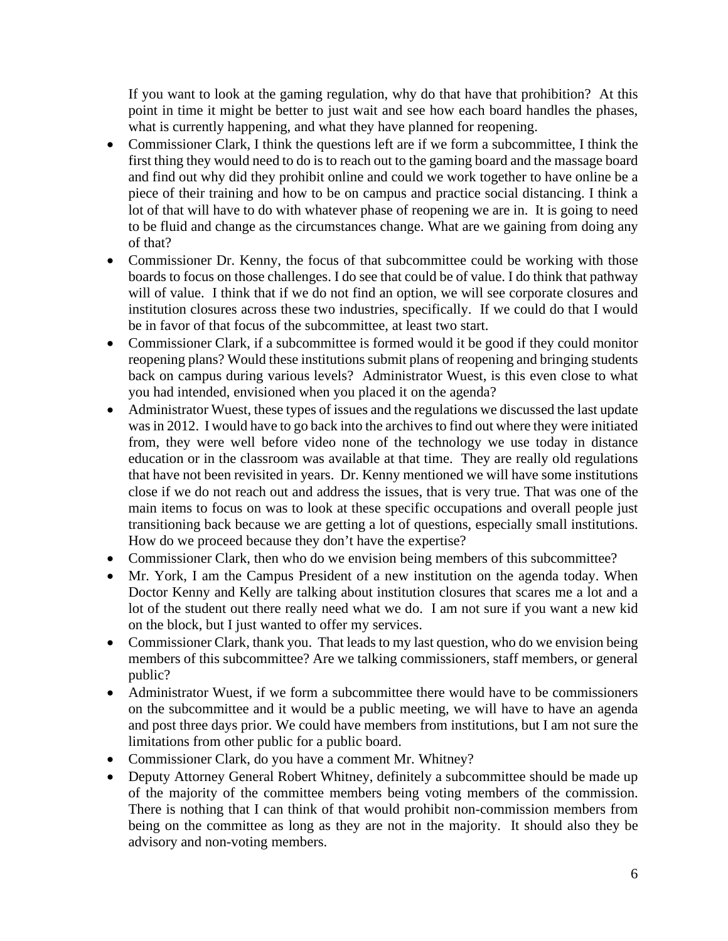If you want to look at the gaming regulation, why do that have that prohibition? At this point in time it might be better to just wait and see how each board handles the phases, what is currently happening, and what they have planned for reopening.

- Commissioner Clark, I think the questions left are if we form a subcommittee, I think the first thing they would need to do is to reach out to the gaming board and the massage board and find out why did they prohibit online and could we work together to have online be a piece of their training and how to be on campus and practice social distancing. I think a lot of that will have to do with whatever phase of reopening we are in. It is going to need to be fluid and change as the circumstances change. What are we gaining from doing any of that?
- Commissioner Dr. Kenny, the focus of that subcommittee could be working with those boards to focus on those challenges. I do see that could be of value. I do think that pathway will of value. I think that if we do not find an option, we will see corporate closures and institution closures across these two industries, specifically. If we could do that I would be in favor of that focus of the subcommittee, at least two start.
- Commissioner Clark, if a subcommittee is formed would it be good if they could monitor reopening plans? Would these institutions submit plans of reopening and bringing students back on campus during various levels? Administrator Wuest, is this even close to what you had intended, envisioned when you placed it on the agenda?
- Administrator Wuest, these types of issues and the regulations we discussed the last update was in 2012. I would have to go back into the archives to find out where they were initiated from, they were well before video none of the technology we use today in distance education or in the classroom was available at that time. They are really old regulations that have not been revisited in years. Dr. Kenny mentioned we will have some institutions close if we do not reach out and address the issues, that is very true. That was one of the main items to focus on was to look at these specific occupations and overall people just transitioning back because we are getting a lot of questions, especially small institutions. How do we proceed because they don't have the expertise?
- Commissioner Clark, then who do we envision being members of this subcommittee?
- Mr. York, I am the Campus President of a new institution on the agenda today. When Doctor Kenny and Kelly are talking about institution closures that scares me a lot and a lot of the student out there really need what we do. I am not sure if you want a new kid on the block, but I just wanted to offer my services.
- Commissioner Clark, thank you. That leads to my last question, who do we envision being members of this subcommittee? Are we talking commissioners, staff members, or general public?
- Administrator Wuest, if we form a subcommittee there would have to be commissioners on the subcommittee and it would be a public meeting, we will have to have an agenda and post three days prior. We could have members from institutions, but I am not sure the limitations from other public for a public board.
- Commissioner Clark, do you have a comment Mr. Whitney?
- Deputy Attorney General Robert Whitney, definitely a subcommittee should be made up of the majority of the committee members being voting members of the commission. There is nothing that I can think of that would prohibit non-commission members from being on the committee as long as they are not in the majority. It should also they be advisory and non-voting members.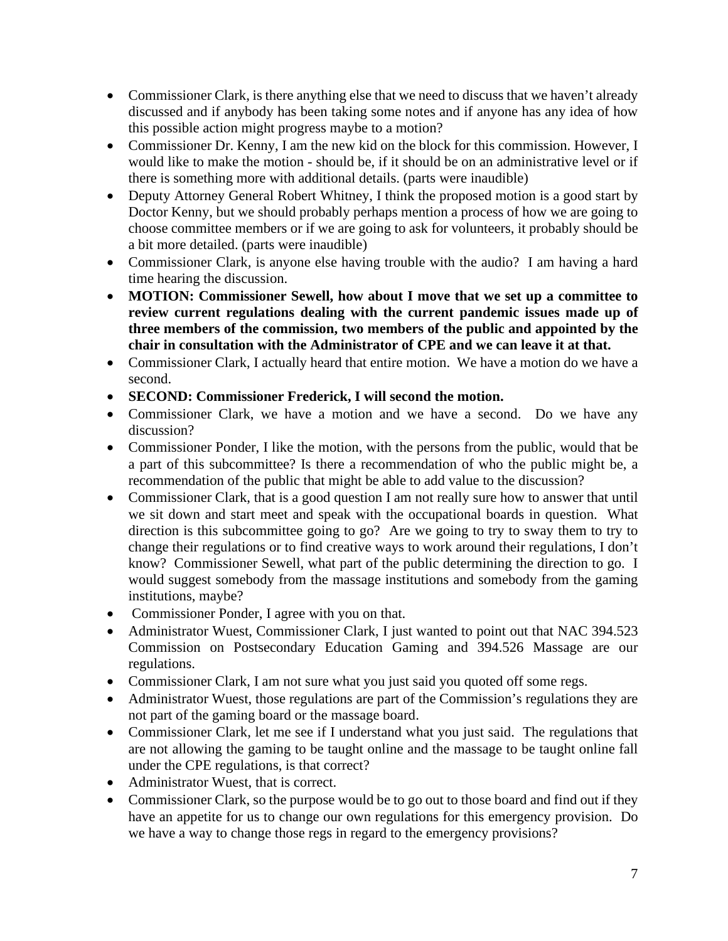- Commissioner Clark, is there anything else that we need to discuss that we haven't already discussed and if anybody has been taking some notes and if anyone has any idea of how this possible action might progress maybe to a motion?
- Commissioner Dr. Kenny, I am the new kid on the block for this commission. However, I would like to make the motion - should be, if it should be on an administrative level or if there is something more with additional details. (parts were inaudible)
- Deputy Attorney General Robert Whitney, I think the proposed motion is a good start by Doctor Kenny, but we should probably perhaps mention a process of how we are going to choose committee members or if we are going to ask for volunteers, it probably should be a bit more detailed. (parts were inaudible)
- Commissioner Clark, is anyone else having trouble with the audio? I am having a hard time hearing the discussion.
- **MOTION: Commissioner Sewell, how about I move that we set up a committee to review current regulations dealing with the current pandemic issues made up of three members of the commission, two members of the public and appointed by the chair in consultation with the Administrator of CPE and we can leave it at that.**
- Commissioner Clark, I actually heard that entire motion. We have a motion do we have a second.
- **SECOND: Commissioner Frederick, I will second the motion.**
- Commissioner Clark, we have a motion and we have a second. Do we have any discussion?
- Commissioner Ponder, I like the motion, with the persons from the public, would that be a part of this subcommittee? Is there a recommendation of who the public might be, a recommendation of the public that might be able to add value to the discussion?
- Commissioner Clark, that is a good question I am not really sure how to answer that until we sit down and start meet and speak with the occupational boards in question. What direction is this subcommittee going to go? Are we going to try to sway them to try to change their regulations or to find creative ways to work around their regulations, I don't know? Commissioner Sewell, what part of the public determining the direction to go. I would suggest somebody from the massage institutions and somebody from the gaming institutions, maybe?
- Commissioner Ponder, I agree with you on that.
- Administrator Wuest, Commissioner Clark, I just wanted to point out that NAC 394.523 Commission on Postsecondary Education Gaming and 394.526 Massage are our regulations.
- Commissioner Clark, I am not sure what you just said you quoted off some regs.
- Administrator Wuest, those regulations are part of the Commission's regulations they are not part of the gaming board or the massage board.
- Commissioner Clark, let me see if I understand what you just said. The regulations that are not allowing the gaming to be taught online and the massage to be taught online fall under the CPE regulations, is that correct?
- Administrator Wuest, that is correct.
- Commissioner Clark, so the purpose would be to go out to those board and find out if they have an appetite for us to change our own regulations for this emergency provision. Do we have a way to change those regs in regard to the emergency provisions?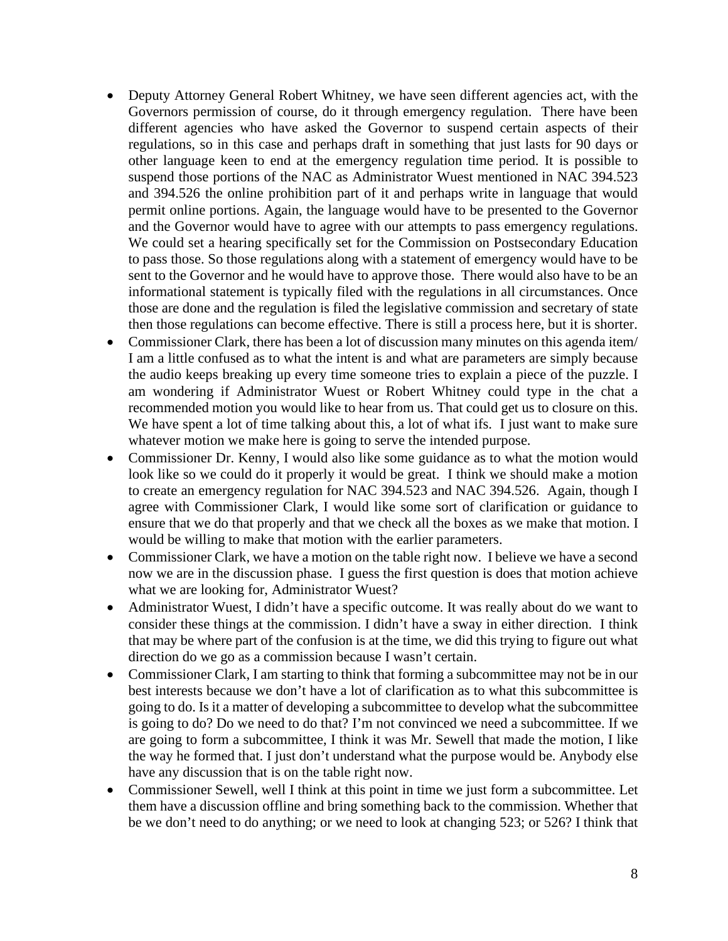- Deputy Attorney General Robert Whitney, we have seen different agencies act, with the Governors permission of course, do it through emergency regulation. There have been different agencies who have asked the Governor to suspend certain aspects of their regulations, so in this case and perhaps draft in something that just lasts for 90 days or other language keen to end at the emergency regulation time period. It is possible to suspend those portions of the NAC as Administrator Wuest mentioned in NAC 394.523 and 394.526 the online prohibition part of it and perhaps write in language that would permit online portions. Again, the language would have to be presented to the Governor and the Governor would have to agree with our attempts to pass emergency regulations. We could set a hearing specifically set for the Commission on Postsecondary Education to pass those. So those regulations along with a statement of emergency would have to be sent to the Governor and he would have to approve those. There would also have to be an informational statement is typically filed with the regulations in all circumstances. Once those are done and the regulation is filed the legislative commission and secretary of state then those regulations can become effective. There is still a process here, but it is shorter.
- Commissioner Clark, there has been a lot of discussion many minutes on this agenda item/ I am a little confused as to what the intent is and what are parameters are simply because the audio keeps breaking up every time someone tries to explain a piece of the puzzle. I am wondering if Administrator Wuest or Robert Whitney could type in the chat a recommended motion you would like to hear from us. That could get us to closure on this. We have spent a lot of time talking about this, a lot of what ifs. I just want to make sure whatever motion we make here is going to serve the intended purpose.
- Commissioner Dr. Kenny, I would also like some guidance as to what the motion would look like so we could do it properly it would be great. I think we should make a motion to create an emergency regulation for NAC 394.523 and NAC 394.526. Again, though I agree with Commissioner Clark, I would like some sort of clarification or guidance to ensure that we do that properly and that we check all the boxes as we make that motion. I would be willing to make that motion with the earlier parameters.
- Commissioner Clark, we have a motion on the table right now. I believe we have a second now we are in the discussion phase. I guess the first question is does that motion achieve what we are looking for, Administrator Wuest?
- Administrator Wuest, I didn't have a specific outcome. It was really about do we want to consider these things at the commission. I didn't have a sway in either direction. I think that may be where part of the confusion is at the time, we did this trying to figure out what direction do we go as a commission because I wasn't certain.
- Commissioner Clark, I am starting to think that forming a subcommittee may not be in our best interests because we don't have a lot of clarification as to what this subcommittee is going to do. Is it a matter of developing a subcommittee to develop what the subcommittee is going to do? Do we need to do that? I'm not convinced we need a subcommittee. If we are going to form a subcommittee, I think it was Mr. Sewell that made the motion, I like the way he formed that. I just don't understand what the purpose would be. Anybody else have any discussion that is on the table right now.
- Commissioner Sewell, well I think at this point in time we just form a subcommittee. Let them have a discussion offline and bring something back to the commission. Whether that be we don't need to do anything; or we need to look at changing 523; or 526? I think that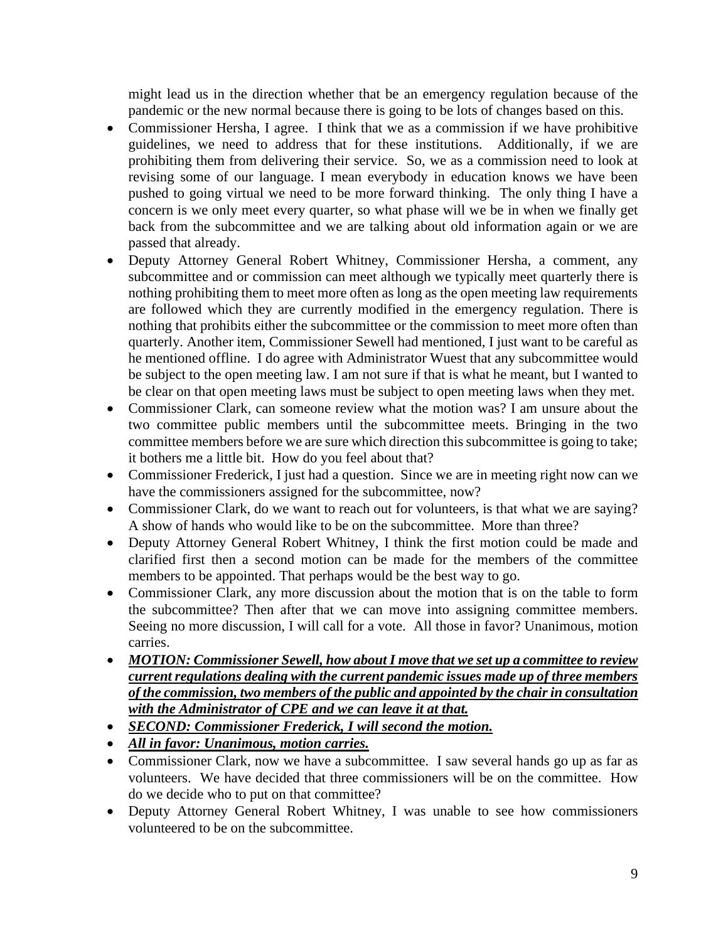might lead us in the direction whether that be an emergency regulation because of the pandemic or the new normal because there is going to be lots of changes based on this.

- Commissioner Hersha, I agree. I think that we as a commission if we have prohibitive guidelines, we need to address that for these institutions. Additionally, if we are prohibiting them from delivering their service. So, we as a commission need to look at revising some of our language. I mean everybody in education knows we have been pushed to going virtual we need to be more forward thinking. The only thing I have a concern is we only meet every quarter, so what phase will we be in when we finally get back from the subcommittee and we are talking about old information again or we are passed that already.
- Deputy Attorney General Robert Whitney, Commissioner Hersha, a comment, any subcommittee and or commission can meet although we typically meet quarterly there is nothing prohibiting them to meet more often as long as the open meeting law requirements are followed which they are currently modified in the emergency regulation. There is nothing that prohibits either the subcommittee or the commission to meet more often than quarterly. Another item, Commissioner Sewell had mentioned, I just want to be careful as he mentioned offline. I do agree with Administrator Wuest that any subcommittee would be subject to the open meeting law. I am not sure if that is what he meant, but I wanted to be clear on that open meeting laws must be subject to open meeting laws when they met.
- Commissioner Clark, can someone review what the motion was? I am unsure about the two committee public members until the subcommittee meets. Bringing in the two committee members before we are sure which direction this subcommittee is going to take; it bothers me a little bit. How do you feel about that?
- Commissioner Frederick, I just had a question. Since we are in meeting right now can we have the commissioners assigned for the subcommittee, now?
- Commissioner Clark, do we want to reach out for volunteers, is that what we are saying? A show of hands who would like to be on the subcommittee. More than three?
- Deputy Attorney General Robert Whitney, I think the first motion could be made and clarified first then a second motion can be made for the members of the committee members to be appointed. That perhaps would be the best way to go.
- Commissioner Clark, any more discussion about the motion that is on the table to form the subcommittee? Then after that we can move into assigning committee members. Seeing no more discussion, I will call for a vote. All those in favor? Unanimous, motion carries.
- *MOTION: Commissioner Sewell, how about I move that we set up a committee to review current regulations dealing with the current pandemic issues made up of three members of the commission, two members of the public and appointed by the chair in consultation with the Administrator of CPE and we can leave it at that.*
- *SECOND: Commissioner Frederick, I will second the motion.*
- *All in favor: Unanimous, motion carries.*
- Commissioner Clark, now we have a subcommittee. I saw several hands go up as far as volunteers. We have decided that three commissioners will be on the committee. How do we decide who to put on that committee?
- Deputy Attorney General Robert Whitney, I was unable to see how commissioners volunteered to be on the subcommittee.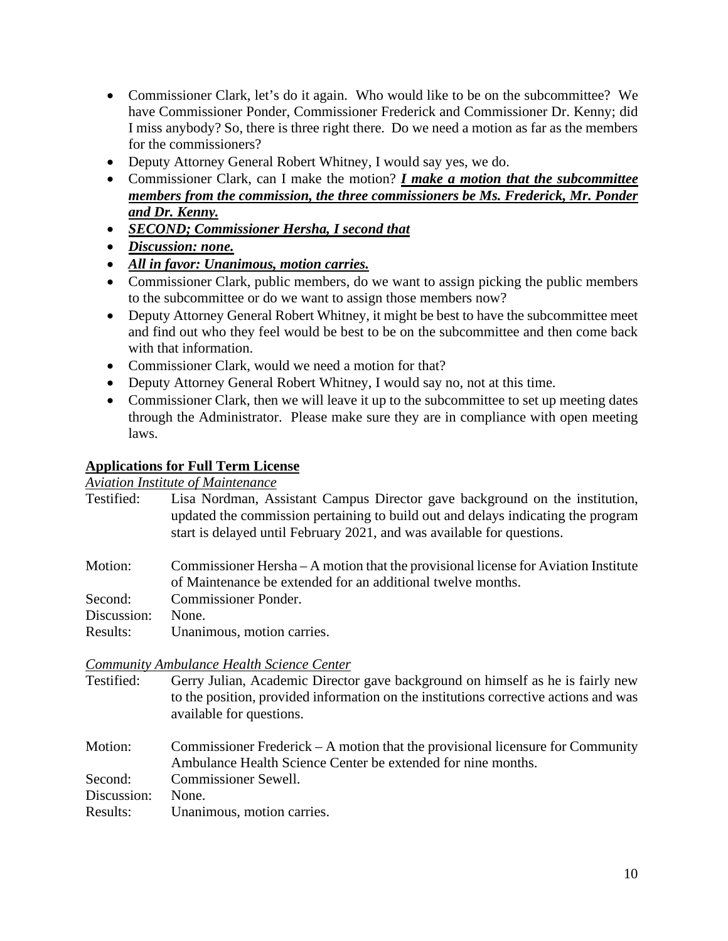- Commissioner Clark, let's do it again. Who would like to be on the subcommittee? We have Commissioner Ponder, Commissioner Frederick and Commissioner Dr. Kenny; did I miss anybody? So, there is three right there. Do we need a motion as far as the members for the commissioners?
- Deputy Attorney General Robert Whitney, I would say yes, we do.
- Commissioner Clark, can I make the motion? *I make a motion that the subcommittee members from the commission, the three commissioners be Ms. Frederick, Mr. Ponder and Dr. Kenny.*
- *SECOND; Commissioner Hersha, I second that*
- *Discussion: none.*
- *All in favor: Unanimous, motion carries.*
- Commissioner Clark, public members, do we want to assign picking the public members to the subcommittee or do we want to assign those members now?
- Deputy Attorney General Robert Whitney, it might be best to have the subcommittee meet and find out who they feel would be best to be on the subcommittee and then come back with that information.
- Commissioner Clark, would we need a motion for that?
- Deputy Attorney General Robert Whitney, I would say no, not at this time.
- Commissioner Clark, then we will leave it up to the subcommittee to set up meeting dates through the Administrator. Please make sure they are in compliance with open meeting laws.

#### **Applications for Full Term License**

*Aviation Institute of Maintenance*

| Testified:  | Lisa Nordman, Assistant Campus Director gave background on the institution,<br>updated the commission pertaining to build out and delays indicating the program<br>start is delayed until February 2021, and was available for questions. |
|-------------|-------------------------------------------------------------------------------------------------------------------------------------------------------------------------------------------------------------------------------------------|
| Motion:     | Commissioner Hersha – A motion that the provisional license for Aviation Institute<br>of Maintenance be extended for an additional twelve months.                                                                                         |
| Second:     | <b>Commissioner Ponder.</b>                                                                                                                                                                                                               |
| Discussion: | None.                                                                                                                                                                                                                                     |
| Results:    | Unanimous, motion carries.                                                                                                                                                                                                                |

# *Community Ambulance Health Science Center*

- Gerry Julian, Academic Director gave background on himself as he is fairly new to the position, provided information on the institutions corrective actions and was available for questions.
- Motion: Commissioner Frederick A motion that the provisional licensure for Community Ambulance Health Science Center be extended for nine months. Second: Commissioner Sewell. Discussion: None. Results: Unanimous, motion carries.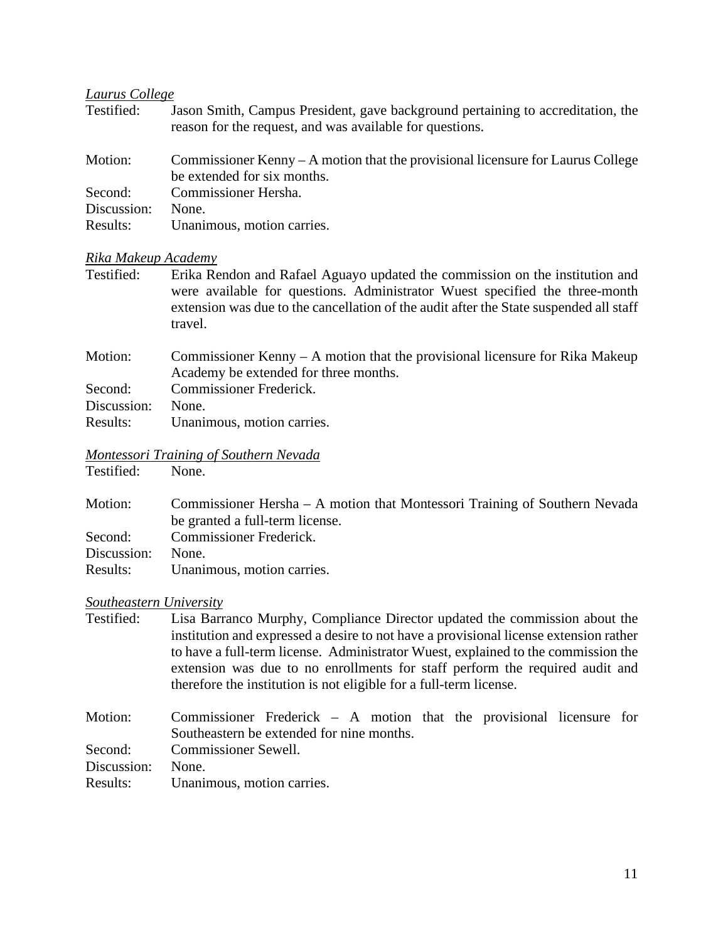# *Laurus College*

| Testified:  | Jason Smith, Campus President, gave background pertaining to accreditation, the<br>reason for the request, and was available for questions. |
|-------------|---------------------------------------------------------------------------------------------------------------------------------------------|
| Motion:     | Commissioner Kenny $-A$ motion that the provisional licensure for Laurus College<br>be extended for six months.                             |
| Second:     | Commissioner Hersha.                                                                                                                        |
| Discussion: | None.                                                                                                                                       |
| Results:    | Unanimous, motion carries.                                                                                                                  |

### *Rika Makeup Academy*

| Testified: | Erika Rendon and Rafael Aguayo updated the commission on the institution and           |
|------------|----------------------------------------------------------------------------------------|
|            | were available for questions. Administrator Wuest specified the three-month            |
|            | extension was due to the cancellation of the audit after the State suspended all staff |
|            | travel.                                                                                |

| Motion:     | Commissioner Kenny $- A$ motion that the provisional licensure for Rika Makeup |
|-------------|--------------------------------------------------------------------------------|
|             | Academy be extended for three months.                                          |
| Second:     | Commissioner Frederick.                                                        |
| Discussion: | None.                                                                          |
| Results:    | Unanimous, motion carries.                                                     |

#### *Montessori Training of Southern Nevada* Testified:

| Motion:     | Commissioner Hersha – A motion that Montessori Training of Southern Nevada<br>be granted a full-term license. |
|-------------|---------------------------------------------------------------------------------------------------------------|
| Second:     | Commissioner Frederick.                                                                                       |
| Discussion: | None.                                                                                                         |
| Results:    | Unanimous, motion carries.                                                                                    |
|             |                                                                                                               |

## *Southeastern University*

| Testified:  | Lisa Barranco Murphy, Compliance Director updated the commission about the<br>institution and expressed a desire to not have a provisional license extension rather<br>to have a full-term license. Administrator Wuest, explained to the commission the<br>extension was due to no enrollments for staff perform the required audit and |  |  |  |
|-------------|------------------------------------------------------------------------------------------------------------------------------------------------------------------------------------------------------------------------------------------------------------------------------------------------------------------------------------------|--|--|--|
|             | therefore the institution is not eligible for a full-term license.                                                                                                                                                                                                                                                                       |  |  |  |
| Motion:     | Commissioner Frederick $-$ A motion that the provisional licensure for<br>Southeastern be extended for nine months.                                                                                                                                                                                                                      |  |  |  |
| Second:     | Commissioner Sewell.                                                                                                                                                                                                                                                                                                                     |  |  |  |
| Discussion: | None.                                                                                                                                                                                                                                                                                                                                    |  |  |  |
| Results:    | Unanimous, motion carries.                                                                                                                                                                                                                                                                                                               |  |  |  |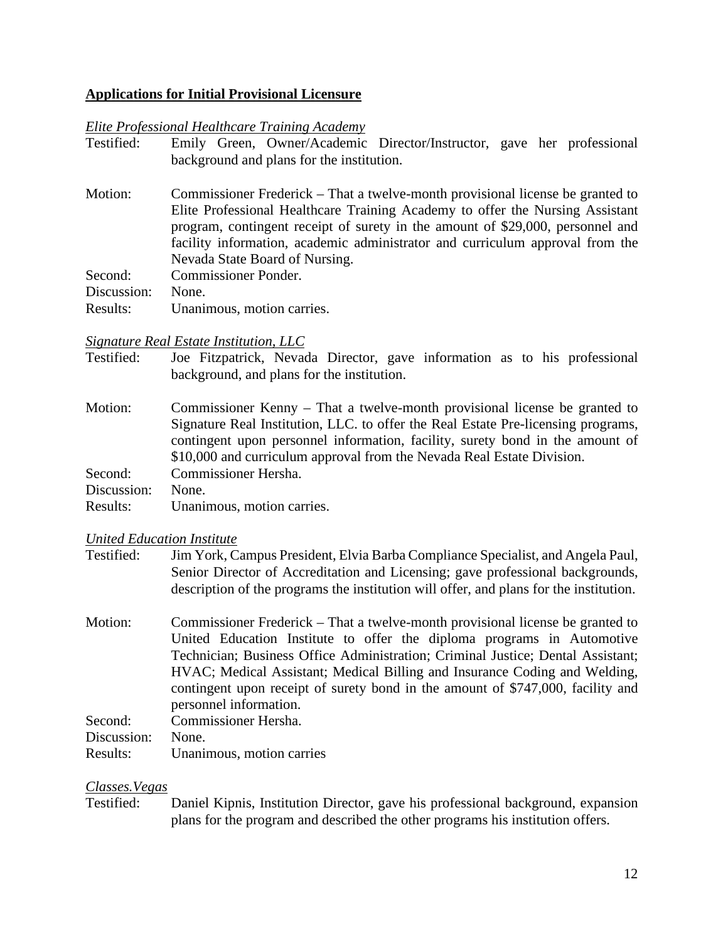#### **Applications for Initial Provisional Licensure**

#### *Elite Professional Healthcare Training Academy*

| Motion:<br>Nevada State Board of Nursing.<br><b>Commissioner Ponder.</b><br>Second:<br>Discussion:<br>None.<br>Unanimous, motion carries.<br>Results: | Testified: | Emily Green, Owner/Academic Director/Instructor, gave her professional<br>background and plans for the institution.                                                                                                                                                                                                                |
|-------------------------------------------------------------------------------------------------------------------------------------------------------|------------|------------------------------------------------------------------------------------------------------------------------------------------------------------------------------------------------------------------------------------------------------------------------------------------------------------------------------------|
|                                                                                                                                                       |            | Commissioner Frederick – That a twelve-month provisional license be granted to<br>Elite Professional Healthcare Training Academy to offer the Nursing Assistant<br>program, contingent receipt of surety in the amount of \$29,000, personnel and<br>facility information, academic administrator and curriculum approval from the |
|                                                                                                                                                       |            |                                                                                                                                                                                                                                                                                                                                    |
|                                                                                                                                                       |            |                                                                                                                                                                                                                                                                                                                                    |
|                                                                                                                                                       |            |                                                                                                                                                                                                                                                                                                                                    |

#### *Signature Real Estate Institution, LLC*

| Testified: |                                            |  |  |  | Joe Fitzpatrick, Nevada Director, gave information as to his professional |
|------------|--------------------------------------------|--|--|--|---------------------------------------------------------------------------|
|            | background, and plans for the institution. |  |  |  |                                                                           |

| Motion:     | Commissioner Kenny – That a twelve-month provisional license be granted to        |
|-------------|-----------------------------------------------------------------------------------|
|             | Signature Real Institution, LLC. to offer the Real Estate Pre-licensing programs, |
|             | contingent upon personnel information, facility, surety bond in the amount of     |
|             | \$10,000 and curriculum approval from the Nevada Real Estate Division.            |
| Second:     | Commissioner Hersha.                                                              |
| Discussion: | None.                                                                             |
| Results:    | Unanimous, motion carries.                                                        |

#### *United Education Institute*

- Testified: Jim York, Campus President, Elvia Barba Compliance Specialist, and Angela Paul, Senior Director of Accreditation and Licensing; gave professional backgrounds, description of the programs the institution will offer, and plans for the institution.
- Motion: Commissioner Frederick That a twelve-month provisional license be granted to United Education Institute to offer the diploma programs in Automotive Technician; Business Office Administration; Criminal Justice; Dental Assistant; HVAC; Medical Assistant; Medical Billing and Insurance Coding and Welding, contingent upon receipt of surety bond in the amount of \$747,000, facility and personnel information. Second: Commissioner Hersha.

| Seconu.           | COMMISSIONEL FIETNIA.     |
|-------------------|---------------------------|
| Discussion: None. |                           |
| Results:          | Unanimous, motion carries |

#### *Classes.Vegas*

Testified: Daniel Kipnis, Institution Director, gave his professional background, expansion plans for the program and described the other programs his institution offers.